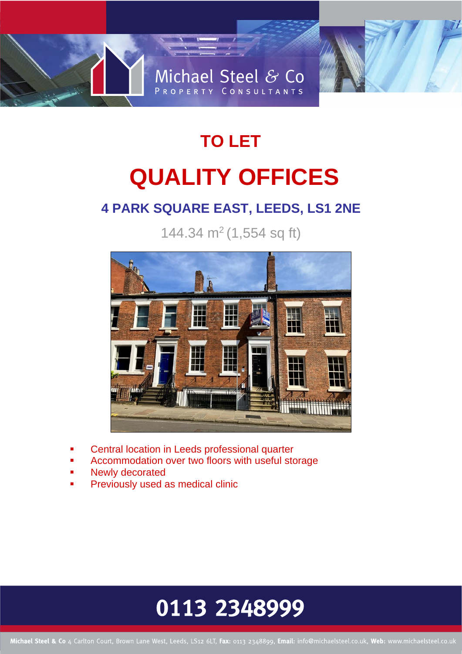

# **TO LET QUALITY OFFICES**

### **4 PARK SQUARE EAST, LEEDS, LS1 2NE**

144.34  $m<sup>2</sup>$  (1,554 sq ft)



- Central location in Leeds professional quarter
- Accommodation over two floors with useful storage
- Newly decorated
- Previously used as medical clinic

## 0113 2348999

Michael Steel & Co 4 Carlton Court, Brown Lane West, Leeds, LS12 6LT, Fax: 0113 2348899, Email: info@michaelsteel.co.uk, Web: www.michaelsteel.co.uk